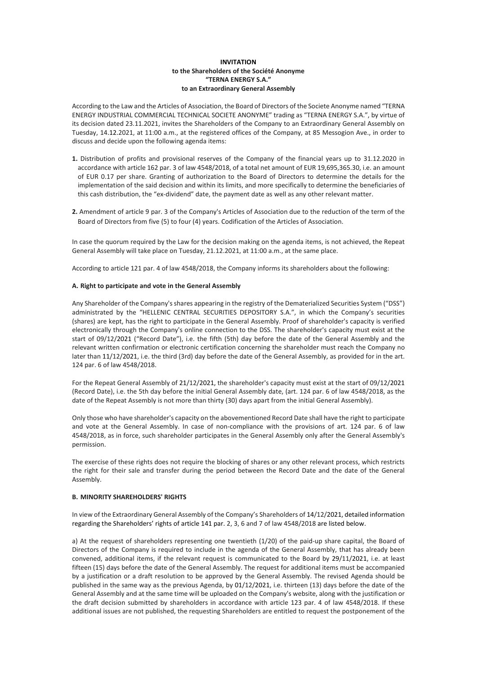## **INVITATION to the Shareholders of the Société Anonyme "TERNA ENERGY S.A." to an Extraordinary General Assembly**

According to the Law and the Articles of Association, the Board of Directors of the Societe Anonyme named "TERNA ENERGY INDUSTRIAL COMMERCIAL TECHNICAL SOCIETE ANONYME" trading as "TERNA ENERGY S.A.", by virtue of its decision dated 23.11.2021, invites the Shareholders of the Company to an Extraordinary General Assembly on Tuesday, 14.12.2021, at 11:00 a.m., at the registered offices of the Company, at 85 Messogion Ave., in order to discuss and decide upon the following agenda items:

- **1.** Distribution of profits and provisional reserves of the Company of the financial years up to 31.12.2020 in accordance with article 162 par. 3 of law 4548/2018, of a total net amount of EUR 19,695,365.30, i.e. an amount of EUR 0.17 per share. Granting of authorization to the Board of Directors to determine the details for the implementation of the said decision and within its limits, and more specifically to determine the beneficiaries of this cash distribution, the "ex-dividend" date, the payment date as well as any other relevant matter.
- **2.** Amendment of article 9 par. 3 of the Company's Articles of Association due to the reduction of the term of the Board of Directors from five (5) to four (4) years. Codification of the Articles of Association.

In case the quorum required by the Law for the decision making on the agenda items, is not achieved, the Repeat General Assembly will take place on Tuesday, 21.12.2021, at 11:00 a.m., at the same place.

According to article 121 par. 4 of law 4548/2018, the Company informs its shareholders about the following:

## **A. Right to participate and vote in the General Assembly**

Any Shareholder of the Company's shares appearing in the registry of the Dematerialized Securities System ("DSS") administrated by the "HELLENIC CENTRAL SECURITIES DEPOSITORY S.A.", in which the Company's securities (shares) are kept, has the right to participate in the General Assembly. Proof of shareholder's capacity is verified electronically through the Company's online connection to the DSS. The shareholder's capacity must exist at the start of 09/12/2021 ("Record Date"), i.e. the fifth (5th) day before the date of the General Assembly and the relevant written confirmation or electronic certification concerning the shareholder must reach the Company no later than 11/12/2021, i.e. the third (3rd) day before the date of the General Assembly, as provided for in the art. 124 par. 6 of law 4548/2018.

For the Repeat General Assembly of 21/12/2021, the shareholder's capacity must exist at the start of 09/12/2021 (Record Date), i.e. the 5th day before the initial General Assembly date, (art. 124 par. 6 of law 4548/2018, as the date of the Repeat Assembly is not more than thirty (30) days apart from the initial General Assembly).

Only those who have shareholder's capacity on the abovementioned Record Date shall have the right to participate and vote at the General Assembly. In case of non-compliance with the provisions of art. 124 par. 6 of law 4548/2018, as in force, such shareholder participates in the General Assembly only after the General Assembly's permission.

The exercise of these rights does not require the blocking of shares or any other relevant process, which restricts the right for their sale and transfer during the period between the Record Date and the date of the General Assembly.

# **B. MINORITY SHAREHOLDERS' RIGHTS**

In view of the Extraordinary General Assembly of the Company's Shareholders of 14/12/2021, detailed information regarding the Shareholders' rights of article 141 par. 2, 3, 6 and 7 of law 4548/2018 are listed below.

a) At the request of shareholders representing one twentieth (1/20) of the paid-up share capital, the Board of Directors of the Company is required to include in the agenda of the General Assembly, that has already been convened, additional items, if the relevant request is communicated to the Board by 29/11/2021, i.e. at least fifteen (15) days before the date of the General Assembly. The request for additional items must be accompanied by a justification or a draft resolution to be approved by the General Assembly. The revised Agenda should be published in the same way as the previous Agenda, by 01/12/2021, i.e. thirteen (13) days before the date of the General Assembly and at the same time will be uploaded on the Company's website, along with the justification or the draft decision submitted by shareholders in accordance with article 123 par. 4 of law 4548/2018. If these additional issues are not published, the requesting Shareholders are entitled to request the postponement of the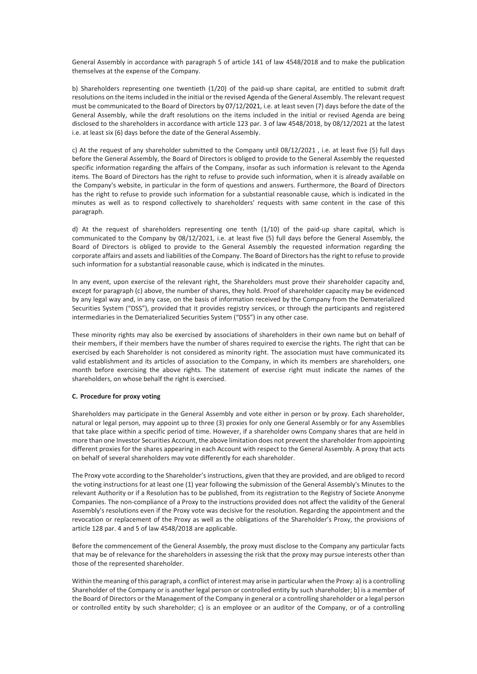General Assembly in accordance with paragraph 5 of article 141 of law 4548/2018 and to make the publication themselves at the expense of the Company.

b) Shareholders representing one twentieth (1/20) of the paid-up share capital, are entitled to submit draft resolutions on the items included in the initial or the revised Agenda of the General Assembly. The relevant request must be communicated to the Board of Directors by 07/12/2021, i.e. at least seven (7) days before the date of the General Assembly, while the draft resolutions on the items included in the initial or revised Agenda are being disclosed to the shareholders in accordance with article 123 par. 3 of law 4548/2018, by 08/12/2021 at the latest i.e. at least six (6) days before the date of the General Assembly.

c) At the request of any shareholder submitted to the Company until 08/12/2021 , i.e. at least five (5) full days before the General Assembly, the Board of Directors is obliged to provide to the General Assembly the requested specific information regarding the affairs of the Company, insofar as such information is relevant to the Agenda items. The Board of Directors has the right to refuse to provide such information, when it is already available on the Company's website, in particular in the form of questions and answers. Furthermore, the Board of Directors has the right to refuse to provide such information for a substantial reasonable cause, which is indicated in the minutes as well as to respond collectively to shareholders' requests with same content in the case of this paragraph.

d) At the request of shareholders representing one tenth (1/10) of the paid-up share capital, which is communicated to the Company by 08/12/2021, i.e. at least five (5) full days before the General Assembly, the Board of Directors is obliged to provide to the General Assembly the requested information regarding the corporate affairs and assets and liabilities of the Company. The Board of Directors has the right to refuse to provide such information for a substantial reasonable cause, which is indicated in the minutes.

In any event, upon exercise of the relevant right, the Shareholders must prove their shareholder capacity and, except for paragraph (c) above, the number of shares, they hold. Proof of shareholder capacity may be evidenced by any legal way and, in any case, on the basis of information received by the Company from the Dematerialized Securities System ("DSS"), provided that it provides registry services, or through the participants and registered intermediaries in the Dematerialized Securities System ("DSS") in any other case.

These minority rights may also be exercised by associations of shareholders in their own name but on behalf of their members, if their members have the number of shares required to exercise the rights. The right that can be exercised by each Shareholder is not considered as minority right. The association must have communicated its valid establishment and its articles of association to the Company, in which its members are shareholders, one month before exercising the above rights. The statement of exercise right must indicate the names of the shareholders, on whose behalf the right is exercised.

#### **C. Procedure for proxy voting**

Shareholders may participate in the General Assembly and vote either in person or by proxy. Each shareholder, natural or legal person, may appoint up to three (3) proxies for only one General Assembly or for any Assemblies that take place within a specific period of time. However, if a shareholder owns Company shares that are held in more than one Investor Securities Account, the above limitation does not prevent the shareholder from appointing different proxies for the shares appearing in each Account with respect to the General Assembly. A proxy that acts on behalf of several shareholders may vote differently for each shareholder.

The Proxy vote according to the Shareholder's instructions, given that they are provided, and are obliged to record the voting instructions for at least one (1) year following the submission of the General Assembly's Minutes to the relevant Authority or if a Resolution has to be published, from its registration to the Registry of Societe Anonyme Companies. The non-compliance of a Proxy to the instructions provided does not affect the validity of the General Assembly's resolutions even if the Proxy vote was decisive for the resolution. Regarding the appointment and the revocation or replacement of the Proxy as well as the obligations of the Shareholder's Proxy, the provisions of article 128 par. 4 and 5 of law 4548/2018 are applicable.

Before the commencement of the General Assembly, the proxy must disclose to the Company any particular facts that may be of relevance for the shareholders in assessing the risk that the proxy may pursue interests other than those of the represented shareholder.

Within the meaning of this paragraph, a conflict of interest may arise in particular when the Proxy: a) is a controlling Shareholder of the Company or is another legal person or controlled entity by such shareholder; b) is a member of the Board of Directors or the Management of the Company in general or a controlling shareholder or a legal person or controlled entity by such shareholder; c) is an employee or an auditor of the Company, or of a controlling